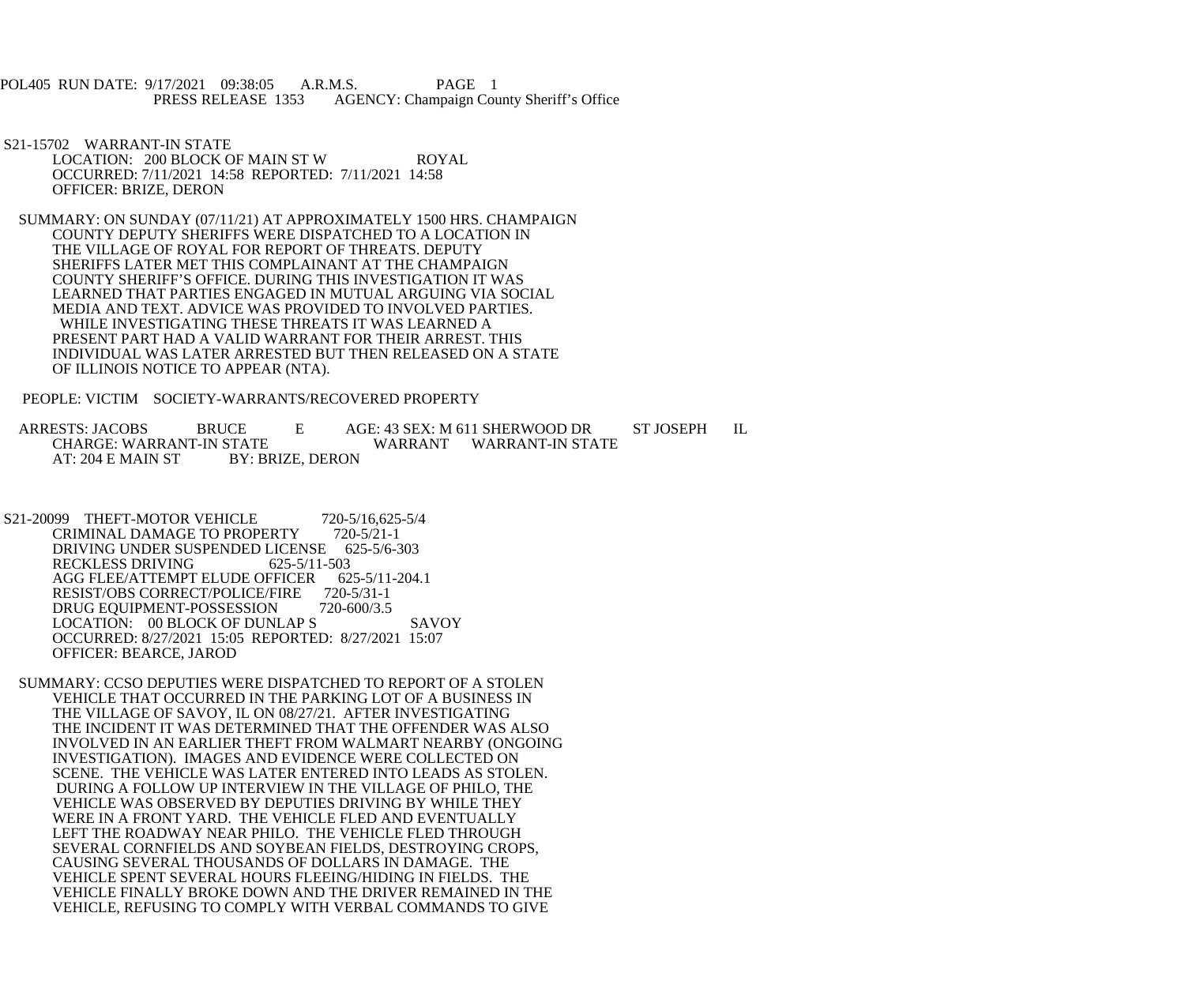POL405 RUN DATE: 9/17/2021 09:38:05 A.R.M.S. PAGE 1<br>PRESS RELEASE 1353 AGENCY: Champaign Cou AGENCY: Champaign County Sheriff's Office

- S21-15702 WARRANT-IN STATE LOCATION: 200 BLOCK OF MAIN ST W ROYAL OCCURRED: 7/11/2021 14:58 REPORTED: 7/11/2021 14:58 OFFICER: BRIZE, DERON
- SUMMARY: ON SUNDAY (07/11/21) AT APPROXIMATELY 1500 HRS. CHAMPAIGN COUNTY DEPUTY SHERIFFS WERE DISPATCHED TO A LOCATION IN THE VILLAGE OF ROYAL FOR REPORT OF THREATS. DEPUTY SHERIFFS LATER MET THIS COMPLAINANT AT THE CHAMPAIGN COUNTY SHERIFF'S OFFICE. DURING THIS INVESTIGATION IT WAS LEARNED THAT PARTIES ENGAGED IN MUTUAL ARGUING VIA SOCIAL MEDIA AND TEXT. ADVICE WAS PROVIDED TO INVOLVED PARTIES. WHILE INVESTIGATING THESE THREATS IT WAS LEARNED A PRESENT PART HAD A VALID WARRANT FOR THEIR ARREST. THIS INDIVIDUAL WAS LATER ARRESTED BUT THEN RELEASED ON A STATE OF ILLINOIS NOTICE TO APPEAR (NTA).

PEOPLE: VICTIM SOCIETY-WARRANTS/RECOVERED PROPERTY

ARRESTS: JACOBS BRUCE E AGE: 43 SEX: M 611 SHERWOOD DR ST JOSEPH IL<br>CHARGE: WARRANT-IN STATE WARRANT WARRANT-IN STATE CHARGE: WARRANT-IN STATE WARRANT WARRANT-IN STATE AT: 204 E MAIN ST

- S21-20099 THEFT-MOTOR VEHICLE 720-5/16,625-5/4<br>CRIMINAL DAMAGE TO PROPERTY 720-5/21-1 CRIMINAL DAMAGE TO PROPERTY DRIVING UNDER SUSPENDED LICENSE 625-5/6-303<br>RECKLESS DRIVING 625-5/11-503 RECKLESS DRIVING AGG FLEE/ATTEMPT ELUDE OFFICER 625-5/11-204.1<br>RESIST/OBS CORRECT/POLICE/FIRE 720-5/31-1 RESIST/OBS CORRECT/POLICE/FIRE DRUG EQUIPMENT-POSSESSION 720-600/3.5 LOCATION: 00 BLOCK OF DUNLAP S SAVOY OCCURRED: 8/27/2021 15:05 REPORTED: 8/27/2021 15:07 OFFICER: BEARCE, JAROD
	- SUMMARY: CCSO DEPUTIES WERE DISPATCHED TO REPORT OF A STOLEN VEHICLE THAT OCCURRED IN THE PARKING LOT OF A BUSINESS IN THE VILLAGE OF SAVOY, IL ON 08/27/21. AFTER INVESTIGATING THE INCIDENT IT WAS DETERMINED THAT THE OFFENDER WAS ALSO INVOLVED IN AN EARLIER THEFT FROM WALMART NEARBY (ONGOING INVESTIGATION). IMAGES AND EVIDENCE WERE COLLECTED ON SCENE. THE VEHICLE WAS LATER ENTERED INTO LEADS AS STOLEN. DURING A FOLLOW UP INTERVIEW IN THE VILLAGE OF PHILO, THE VEHICLE WAS OBSERVED BY DEPUTIES DRIVING BY WHILE THEY WERE IN A FRONT YARD. THE VEHICLE FLED AND EVENTUALLY LEFT THE ROADWAY NEAR PHILO. THE VEHICLE FLED THROUGH SEVERAL CORNFIELDS AND SOYBEAN FIELDS, DESTROYING CROPS, CAUSING SEVERAL THOUSANDS OF DOLLARS IN DAMAGE. THE VEHICLE SPENT SEVERAL HOURS FLEEING/HIDING IN FIELDS. THE VEHICLE FINALLY BROKE DOWN AND THE DRIVER REMAINED IN THE VEHICLE, REFUSING TO COMPLY WITH VERBAL COMMANDS TO GIVE